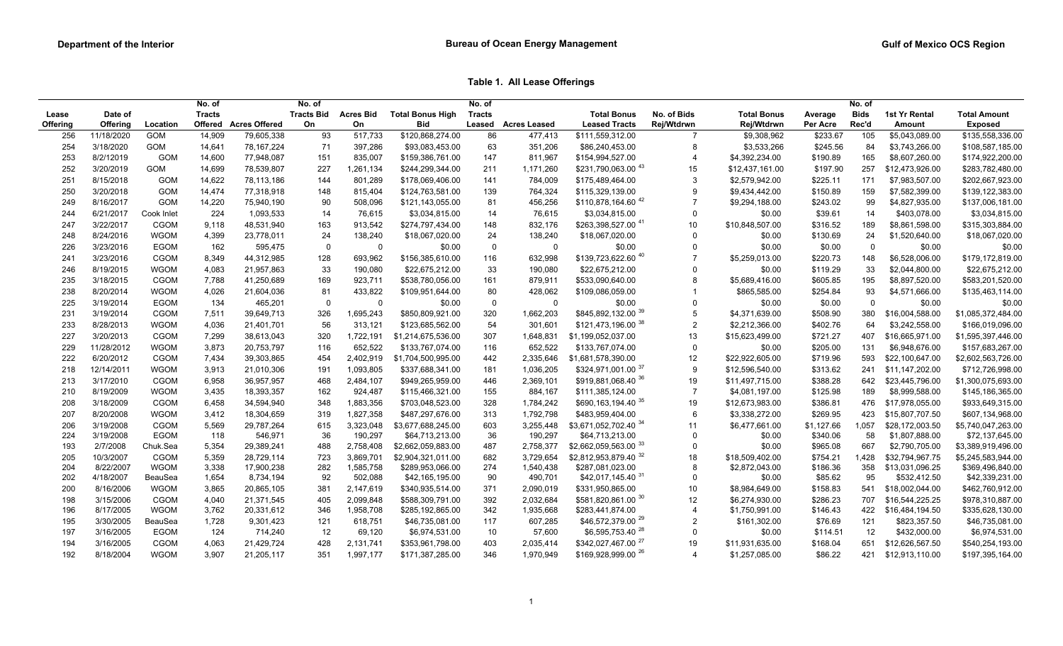**Table 1. All Lease Offerings**

|          |            |                | No. of        |                       | No. of      |                             |                         | No. of        |                     |                                |                |                    |            | No. of      |                 |                     |
|----------|------------|----------------|---------------|-----------------------|-------------|-----------------------------|-------------------------|---------------|---------------------|--------------------------------|----------------|--------------------|------------|-------------|-----------------|---------------------|
| Lease    | Date of    |                | <b>Tracts</b> |                       |             | <b>Tracts Bid Acres Bid</b> | <b>Total Bonus High</b> | <b>Tracts</b> |                     | <b>Total Bonus</b>             | No. of Bids    | <b>Total Bonus</b> | Average    | <b>Bids</b> | 1st Yr Rental   | <b>Total Amount</b> |
| Offering | Offering   | Location       |               | Offered Acres Offered | On          | On                          | Bid                     | Leased        | <b>Acres Leased</b> | <b>Leased Tracts</b>           | Rej/Wtdrwn     | Rej/Wtdrwn         | Per Acre   | Rec'd       | Amount          | <b>Exposed</b>      |
| 256      | 11/18/2020 | <b>GOM</b>     | 14.909        | 79,605,338            | 93          | 517,733                     | \$120,868,274.00        | 86            | 477.413             | \$111,559,312.00               | $\overline{7}$ | \$9,308,962        | \$233.67   | 105         | \$5,043,089.00  | \$135,558,336.00    |
| 254      | 3/18/2020  | GOM            | 14,641        | 78,167,224            | 71          | 397,286                     | \$93,083,453.00         | 63            | 351,206             | \$86,240,453.00                | 8              | \$3,533,266        | \$245.56   | 84          | \$3,743,266.00  | \$108,587,185.00    |
| 253      | 8/2/12019  | <b>GOM</b>     | 14,600        | 77,948,087            | 151         | 835,007                     | \$159,386,761.00        | 147           | 811,967             | \$154,994,527.00               | 4              | \$4,392,234.00     | \$190.89   | 165         | \$8,607,260.00  | \$174,922,200.00    |
| 252      | 3/20/2019  | GOM            | 14,699        | 78,539,807            | 227         | 1,261,134                   | \$244,299,344.00        | 211           | 1,171,260           | \$231,790,063.00 43            | 15             | \$12,437,161.00    | \$197.90   | 257         | \$12,473,926.00 | \$283,782,480.00    |
| 251      | 8/15/2018  | <b>GOM</b>     | 14,622        | 78,113,186            | 144         | 801,289                     | \$178,069,406.00        | 141           | 784,009             | \$175,489,464.00               | 3              | \$2,579,942.00     | \$225.11   | 171         | \$7,983,507.00  | \$202,667,923.00    |
| 250      | 3/20/2018  | GOM            | 14,474        | 77,318,918            | 148         | 815,404                     | \$124,763,581.00        | 139           | 764,324             | \$115,329,139.00               | 9              | \$9,434,442.00     | \$150.89   | 159         | \$7,582,399.00  | \$139,122,383.00    |
| 249      | 8/16/2017  | <b>GOM</b>     | 14,220        | 75,940,190            | 90          | 508,096                     | \$121,143,055.00        | 81            | 456,256             | \$110,878,164.60 42            | $\overline{7}$ | \$9,294,188.00     | \$243.02   | 99          | \$4,827,935.00  | \$137,006,181.00    |
| 244      | 6/21/2017  | Cook Inlet     | 224           | 1,093,533             | 14          | 76,615                      | \$3,034,815.00          | 14            | 76,615              | \$3,034,815.00                 | $\Omega$       | \$0.00             | \$39.61    | 14          | \$403,078.00    | \$3,034,815.00      |
| 247      | 3/22/2017  | CGOM           | 9,118         | 48,531,940            | 163         | 913,542                     | \$274,797,434.00        | 148           | 832,176             | \$263,398,527.00 41            | 10             | \$10,848,507.00    | \$316.52   | 189         | \$8,861,598.00  | \$315,303,884.00    |
| 248      | 8/24/2016  | <b>WGOM</b>    | 4,399         | 23,778,011            | 24          | 138,240                     | \$18,067,020.00         | 24            | 138,240             | \$18,067,020.00                | $\mathbf 0$    | \$0.00             | \$130.69   | 24          | \$1,520,640.00  | \$18,067,020.00     |
| 226      | 3/23/2016  | <b>EGOM</b>    | 162           | 595,475               | $\mathbf 0$ | $\mathbf 0$                 | \$0.00                  | $\mathbf 0$   | $\mathbf 0$         | \$0.00                         | $\Omega$       | \$0.00             | \$0.00     | $\mathbf 0$ | \$0.00          | \$0.00              |
| 241      | 3/23/2016  | CGOM           | 8,349         | 44,312,985            | 128         | 693,962                     | \$156,385,610.00        | 116           | 632,998             | \$139,723,622.60 40            |                | \$5,259,013.00     | \$220.73   | 148         | \$6,528,006.00  | \$179,172,819.00    |
| 246      | 8/19/2015  | <b>WGOM</b>    | 4,083         | 21,957,863            | 33          | 190,080                     | \$22,675,212.00         | 33            | 190,080             | \$22,675,212.00                | $\Omega$       | \$0.00             | \$119.29   | 33          | \$2,044,800.00  | \$22,675,212.00     |
| 235      | 3/18/2015  | CGOM           | 7,788         | 41,250,689            | 169         | 923,711                     | \$538,780,056.00        | 161           | 879,911             | \$533,090,640.00               | 8              | \$5,689,416.00     | \$605.85   | 195         | \$8,897,520.00  | \$583,201,520.00    |
| 238      | 8/20/2014  | <b>WGOM</b>    | 4,026         | 21,604,036            | 81          | 433,822                     | \$109,951,644.00        | 80            | 428,062             | \$109,086,059.00               |                | \$865,585.00       | \$254.84   | 93          | \$4,571,666.00  | \$135,463,114.00    |
| 225      | 3/19/2014  | EGOM           | 134           | 465,201               | $\mathbf 0$ | $\mathbf 0$                 | \$0.00                  | $\mathsf 0$   | $\mathbf 0$         | \$0.00                         | $\mathbf 0$    | \$0.00             | \$0.00     | $\mathbf 0$ | \$0.00          | \$0.00              |
| 231      | 3/19/2014  | CGOM           | 7,511         | 39,649,713            | 326         | 1,695,243                   | \$850,809,921.00        | 320           | 1,662,203           | \$845,892,132.00 <sup>39</sup> | 5              | \$4,371,639.00     | \$508.90   | 380         | \$16,004,588.00 | \$1,085,372,484.00  |
| 233      | 8/28/2013  | <b>WGOM</b>    | 4,036         | 21,401,701            | 56          | 313,121                     | \$123,685,562.00        | 54            | 301,601             | \$121,473,196.00 38            | $\overline{2}$ | \$2,212,366.00     | \$402.76   | 64          | \$3,242,558.00  | \$166,019,096.00    |
| 227      | 3/20/2013  | CGOM           | 7,299         | 38,613,043            | 320         | 1,722,191                   | \$1,214,675,536.00      | 307           | 1,648,831           | \$1,199,052,037.00             | 13             | \$15,623,499.00    | \$721.27   | 407         | \$16,665,971.00 | \$1,595,397,446.00  |
| 229      | 11/28/2012 | <b>WGOM</b>    | 3,873         | 20,753,797            | 116         | 652,522                     | \$133,767,074.00        | 116           | 652,522             | \$133,767,074.00               | $\mathbf 0$    | \$0.00             | \$205.00   | 131         | \$6,948,676.00  | \$157,683,267.00    |
| 222      | 6/20/2012  | CGOM           | 7,434         | 39,303,865            | 454         | 2,402,919                   | \$1,704,500,995.00      | 442           | 2,335,646           | \$1,681,578,390.00             | 12             | \$22,922,605.00    | \$719.96   | 593         | \$22,100,647.00 | \$2,602,563,726.00  |
| 218      | 12/14/2011 | <b>WGOM</b>    | 3,913         | 21,010,306            | 191         | 1,093,805                   | \$337,688,341.00        | 181           | 1,036,205           | \$324,971,001.00 37            | 9              | \$12,596,540.00    | \$313.62   | 241         | \$11,147,202.00 | \$712,726,998.00    |
| 213      | 3/17/2010  | CGOM           | 6,958         | 36,957,957            | 468         | 2,484,107                   | \$949,265,959.00        | 446           | 2,369,101           | \$919,881,068.40 36            | 19             | \$11,497,715.00    | \$388.28   | 642         | \$23,445,796.00 | \$1,300,075,693.00  |
| 210      | 8/19/2009  | <b>WGOM</b>    | 3,435         | 18,393,357            | 162         | 924,487                     | \$115,466,321.00        | 155           | 884,167             | \$111,385,124.00               | $\overline{7}$ | \$4,081,197.00     | \$125.98   | 189         | \$8,999,588.00  | \$145,186,365.00    |
| 208      | 3/18/2009  | CGOM           | 6,458         | 34,594,940            | 348         | 1,883,356                   | \$703,048,523.00        | 328           | 1,784,242           | \$690,163,194.40 35            | 19             | \$12,673,983.00    | \$386.81   | 476         | \$17,978,055.00 | \$933,649,315.00    |
| 207      | 8/20/2008  | <b>WGOM</b>    | 3,412         | 18,304,659            | 319         | 1,827,358                   | \$487,297,676.00        | 313           | 1,792,798           | \$483,959,404.00               | 6              | \$3,338,272.00     | \$269.95   | 423         | \$15,807,707.50 | \$607,134,968.00    |
| 206      | 3/19/2008  | CGOM           | 5,569         | 29,787,264            | 615         | 3,323,048                   | \$3,677,688,245.00      | 603           | 3,255,448           | \$3,671,052,702.40 34          | 11             | \$6,477,661.00     | \$1,127.66 | 1.057       | \$28,172,003.50 | \$5,740,047,263.00  |
| 224      | 3/19/2008  | <b>EGOM</b>    | 118           | 546,971               | 36          | 190,297                     | \$64,713,213.00         | 36            | 190,297             | \$64,713,213.00                | $\mathbf 0$    | \$0.00             | \$340.06   | 58          | \$1,807,888.00  | \$72,137,645.00     |
| 193      | 2/7/2008   | Chuk.Sea       | 5,354         | 29,389,241            | 488         | 2,758,408                   | \$2,662,059,883.00      | 487           | 2,758,377           | \$2,662,059,563.00 33          | $\Omega$       | \$0.00             | \$965.08   | 667         | \$2,790,705.00  | \$3,389,919,496.00  |
| 205      | 10/3/2007  | CGOM           | 5,359         | 28,729,114            | 723         | 3,869,701                   | \$2,904,321,011.00      | 682           | 3,729,654           | \$2,812,953,879.40 32          | 18             | \$18,509,402.00    | \$754.21   | 1,428       | \$32,794,967.75 | \$5,245,583,944.00  |
| 204      | 8/22/2007  | <b>WGOM</b>    | 3,338         | 17,900,238            | 282         | 1,585,758                   | \$289,953,066.00        | 274           | 1,540,438           | \$287,081,023.00               | 8              | \$2,872,043.00     | \$186.36   | 358         | \$13,031,096.25 | \$369,496,840.00    |
| 202      | 4/18/2007  | <b>BeauSea</b> | 1,654         | 8,734,194             | 92          | 502,088                     | \$42,165,195.00         | 90            | 490,701             | \$42,017,145.40 31             | $\Omega$       | \$0.00             | \$85.62    | 95          | \$532,412.50    | \$42,339,231.00     |
| 200      | 8/16/2006  | <b>WGOM</b>    | 3,865         | 20,865,105            | 381         | 2,147,619                   | \$340,935,514.00        | 371           | 2,090,019           | \$331,950,865.00               | 10             | \$8,984,649.00     | \$158.83   | 541         | \$18,002,044.00 | \$462,760,912.00    |
| 198      | 3/15/2006  | CGOM           | 4,040         | 21,371,545            | 405         | 2,099,848                   | \$588,309,791.00        | 392           | 2,032,684           | \$581,820,861.00 30            | 12             | \$6,274,930.00     | \$286.23   | 707         | \$16,544,225.25 | \$978,310,887.00    |
| 196      | 8/17/2005  | <b>WGOM</b>    | 3,762         | 20,331,612            | 346         | 1,958,708                   | \$285,192,865.00        | 342           | 1,935,668           | \$283,441,874.00               | $\overline{4}$ | \$1,750,991.00     | \$146.43   | 422         | \$16,484,194.50 | \$335,628,130.00    |
| 195      | 3/30/2005  | BeauSea        | 1,728         | 9,301,423             | 121         | 618,751                     | \$46,735,081.00         | 117           | 607,285             | \$46,572,379.00 29             | $\overline{2}$ | \$161,302.00       | \$76.69    | 121         | \$823,357.50    | \$46,735,081.00     |
| 197      | 3/16/2005  | EGOM           | 124           | 714,240               | 12          | 69,120                      | \$6,974,531.00          | 10            | 57,600              | \$6,595,753.40 <sup>28</sup>   | $\Omega$       | \$0.00             | \$114.51   | 12          | \$432,000.00    | \$6,974,531.00      |
| 194      | 3/16/2005  | CGOM           | 4,063         | 21,429,724            | 428         | 2,131,741                   | \$353,961,798.00        | 403           | 2,035,414           | \$342,027,467.00 27            | 19             | \$11,931,635.00    | \$168.04   | 651         | \$12,626,567.50 | \$540,254,193.00    |
| 192      | 8/18/2004  | <b>WGOM</b>    | 3,907         | 21,205,117            | 351         | 1,997,177                   | \$171,387,285.00        | 346           | 1,970,949           | \$169,928,999.00 <sup>26</sup> | $\overline{4}$ | \$1,257,085.00     | \$86.22    | 421         | \$12,913,110.00 | \$197,395,164.00    |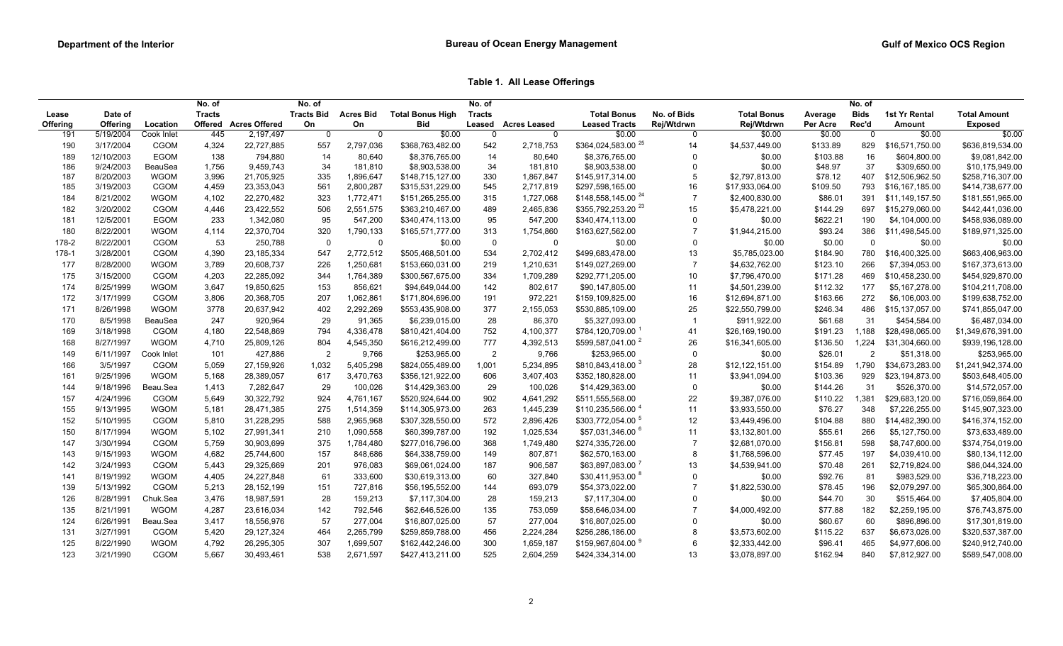**Table 1. All Lease Offerings**

|          |            |             | No. of        |                      | No. of            |             |                         | No. of         |                     |                                 |                |                    |          | No. of         |                 |                     |
|----------|------------|-------------|---------------|----------------------|-------------------|-------------|-------------------------|----------------|---------------------|---------------------------------|----------------|--------------------|----------|----------------|-----------------|---------------------|
| Lease    | Date of    |             | <b>Tracts</b> |                      | <b>Tracts Bid</b> | Acres Bid   | <b>Total Bonus High</b> | <b>Tracts</b>  |                     | <b>Total Bonus</b>              | No. of Bids    | <b>Total Bonus</b> | Average  | <b>Bids</b>    | 1st Yr Rental   | <b>Total Amount</b> |
| Offering | Offering   | Location    | Offered       | <b>Acres Offered</b> | On                | On          | Bid                     | Leased         | <b>Acres Leased</b> | <b>Leased Tracts</b>            | Rej/Wtdrwn     | Rej/Wtdrwn         | Per Acre | Rec'd          | Amount          | <b>Exposed</b>      |
| 191      | 5/19/2004  | Cook Inlet  | 445           | 2,197,497            | $\mathbf 0$       | $\mathbf 0$ | \$0.00                  | 0              | $\mathbf 0$         | \$0.00                          | $\Omega$       | \$0.00             | \$0.00   | $\overline{0}$ | \$0.00          | \$0.00              |
| 190      | 3/17/2004  | CGOM        | 4,324         | 22,727,885           | 557               | 2,797,036   | \$368,763,482.00        | 542            | 2,718,753           | $$364,024,583.00$ <sup>25</sup> | 14             | \$4,537,449.00     | \$133.89 | 829            | \$16,571,750.00 | \$636,819,534.00    |
| 189      | 12/10/2003 | EGOM        | 138           | 794,880              | 14                | 80,640      | \$8,376,765.00          | 14             | 80,640              | \$8,376,765.00                  | $\Omega$       | \$0.00             | \$103.88 | 16             | \$604,800.00    | \$9,081,842.00      |
| 186      | 9/24/2003  | BeauSea     | 1,756         | 9,459,743            | 34                | 181,810     | \$8,903,538.00          | 34             | 181,810             | \$8,903,538.00                  | $\Omega$       | \$0.00             | \$48.97  | 37             | \$309,650.00    | \$10,175,949.00     |
| 187      | 8/20/2003  | <b>WGOM</b> | 3,996         | 21,705,925           | 335               | 1,896,647   | \$148,715,127.00        | 330            | 1,867,847           | \$145,917,314.00                | 5              | \$2,797,813.00     | \$78.12  | 407            | \$12,506,962.50 | \$258,716,307.00    |
| 185      | 3/19/2003  | CGOM        | 4,459         | 23,353,043           | 561               | 2,800,287   | \$315,531,229.00        | 545            | 2,717,819           | \$297,598,165.00                | 16             | \$17,933,064.00    | \$109.50 | 793            | \$16,167,185.00 | \$414,738,677.00    |
| 184      | 8/21/2002  | <b>WGOM</b> | 4,102         | 22,270,482           | 323               | 1,772,471   | \$151,265,255.00        | 315            | 1,727,068           | \$148,558,145.00 $^{24}$        | $\overline{7}$ | \$2,400,830.00     | \$86.01  | 391            | \$11,149,157.50 | \$181,551,965.00    |
| 182      | 3/20/2002  | CGOM        | 4,446         | 23,422,552           | 506               | 2,551,575   | \$363,210,467.00        | 489            | 2,465,836           | \$355,792,253.20 <sup>23</sup>  | 15             | \$5,478,221.00     | \$144.29 | 697            | \$15,279,060.00 | \$442,441,036.00    |
| 181      | 12/5/2001  | EGOM        | 233           | 1,342,080            | 95                | 547,200     | \$340,474,113.00        | 95             | 547,200             | \$340,474,113.00                | $\Omega$       | \$0.00             | \$622.21 | 190            | \$4,104,000.00  | \$458,936,089.00    |
| 180      | 8/22/2001  | <b>WGOM</b> | 4,114         | 22,370,704           | 320               | 1,790,133   | \$165,571,777.00        | 313            | 1,754,860           | \$163,627,562.00                |                | \$1,944,215.00     | \$93.24  | 386            | \$11,498,545.00 | \$189,971,325.00    |
| 178-2    | 8/22/2001  | CGOM        | 53            | 250,788              | $\mathbf 0$       | $\mathbf 0$ | \$0.00                  | $\mathbf 0$    | $\mathbf 0$         | \$0.00                          | 0              | \$0.00             | \$0.00   | $\overline{0}$ | \$0.00          | \$0.00              |
| 178-1    | 3/28/2001  | <b>CGOM</b> | 4,390         | 23, 185, 334         | 547               | 2,772,512   | \$505,468,501.00        | 534            | 2,702,412           | \$499,683,478.00                | 13             | \$5,785,023.00     | \$184.90 | 780            | \$16,400,325.00 | \$663,406,963.00    |
| 177      | 8/28/2000  | <b>WGOM</b> | 3,789         | 20,608,737           | 226               | 1,250,681   | \$153,660,031.00        | 219            | 1,210,631           | \$149,027,269.00                | $\overline{7}$ | \$4,632,762.00     | \$123.10 | 266            | \$7,394,053.00  | \$167,373,613.00    |
| 175      | 3/15/2000  | CGOM        | 4,203         | 22,285,092           | 344               | 1,764,389   | \$300,567,675.00        | 334            | 1,709,289           | \$292,771,205.00                | 10             | \$7,796,470.00     | \$171.28 | 469            | \$10,458,230.00 | \$454,929,870.00    |
| 174      | 8/25/1999  | WGOM        | 3,647         | 19,850,625           | 153               | 856,621     | \$94,649,044.00         | 142            | 802,617             | \$90,147,805.00                 | 11             | \$4,501,239.00     | \$112.32 | 177            | \$5,167,278.00  | \$104,211,708.00    |
| 172      | 3/17/1999  | CGOM        | 3,806         | 20,368,705           | 207               | 1,062,861   | \$171,804,696.00        | 191            | 972,221             | \$159,109,825.00                | 16             | \$12,694,871.00    | \$163.66 | 272            | \$6,106,003.00  | \$199,638,752.00    |
| 171      | 8/26/1998  | <b>WGOM</b> | 3778          | 20,637,942           | 402               | 2,292,269   | \$553,435,908.00        | 377            | 2,155,053           | \$530,885,109.00                | 25             | \$22,550,799.00    | \$246.34 | 486            | \$15,137,057.00 | \$741,855,047.00    |
| 170      | 8/5/1998   | BeauSea     | 247           | 920,964              | 29                | 91,365      | \$6,239,015.00          | 28             | 86,370              | \$5,327,093.00                  | -1             | \$911,922.00       | \$61.68  | 31             | \$454,584.00    | \$6,487,034.00      |
| 169      | 3/18/1998  | CGOM        | 4,180         | 22,548,869           | 794               | 4,336,478   | \$810,421,404.00        | 752            | 4,100,377           | \$784,120,709.00                | 41             | \$26,169,190.00    | \$191.23 | 1,188          | \$28,498,065.00 | \$1,349,676,391.00  |
| 168      | 8/27/1997  | <b>WGOM</b> | 4,710         | 25,809,126           | 804               | 4,545,350   | \$616,212,499.00        | 777            | 4,392,513           | \$599,587,041.00 <sup>2</sup>   | 26             | \$16,341,605.00    | \$136.50 | 1,224          | \$31,304,660.00 | \$939,196,128.00    |
| 149      | 6/11/1997  | Cook Inlet  | 101           | 427,886              | $\overline{2}$    | 9,766       | \$253,965.00            | $\overline{2}$ | 9,766               | \$253,965.00                    | $\mathbf 0$    | \$0.00             | \$26.01  | $\overline{2}$ | \$51,318.00     | \$253,965.00        |
| 166      | 3/5/1997   | CGOM        | 5,059         | 27,159,926           | 1,032             | 5,405,298   | \$824,055,489.00        | 1,001          | 5,234,895           | \$810,843,418.00 3              | 28             | \$12,122,151.00    | \$154.89 | 1,790          | \$34,673,283.00 | \$1,241,942,374.00  |
| 161      | 9/25/1996  | <b>WGOM</b> | 5,168         | 28,389,057           | 617               | 3,470,763   | \$356,121,922.00        | 606            | 3,407,403           | \$352,180,828.00                | 11             | \$3,941,094.00     | \$103.36 | 929            | \$23,194,873.00 | \$503,648,405.00    |
| 144      | 9/18/1996  | Beau.Sea    | 1,413         | 7,282,647            | 29                | 100,026     | \$14,429,363.00         | 29             | 100,026             | \$14,429,363.00                 | 0              | \$0.00             | \$144.26 | 31             | \$526,370.00    | \$14,572,057.00     |
| 157      | 4/24/1996  | CGOM        | 5,649         | 30,322,792           | 924               | 4,761,167   | \$520,924,644.00        | 902            | 4,641,292           | \$511,555,568.00                | 22             | \$9,387,076.00     | \$110.22 | 1,381          | \$29,683,120.00 | \$716,059,864.00    |
| 155      | 9/13/1995  | <b>WGOM</b> | 5,181         | 28,471,385           | 275               | 1,514,359   | \$114,305,973.00        | 263            | 1,445,239           | \$110,235,566.00                | 11             | \$3,933,550.00     | \$76.27  | 348            | \$7,226,255.00  | \$145,907,323.00    |
| 152      | 5/10/1995  | CGOM        | 5,810         | 31,228,295           | 588               | 2,965,968   | \$307,328,550.00        | 572            | 2,896,426           | \$303,772,054.00 5              | 12             | \$3,449,496.00     | \$104.88 | 880            | \$14,482,390.00 | \$416,374,152.00    |
| 150      | 8/17/1994  | <b>WGOM</b> | 5,102         | 27,991,341           | 210               | 1,090,558   | \$60,399,787.00         | 192            | 1,025,534           | \$57,031,346.00 <sup>6</sup>    | 11             | \$3,132,801.00     | \$55.61  | 266            | \$5,127,750.00  | \$73,633,489.00     |
| 147      | 3/30/1994  | CGOM        | 5,759         | 30,903,699           | 375               | 1,784,480   | \$277,016,796.00        | 368            | 1,749,480           | \$274,335,726.00                | $\overline{7}$ | \$2,681,070.00     | \$156.81 | 598            | \$8,747,600.00  | \$374,754,019.00    |
|          | 9/15/1993  | <b>WGOM</b> |               |                      |                   |             |                         |                |                     |                                 | 8              |                    |          |                |                 |                     |
| 143      |            |             | 4,682         | 25,744,600           | 157               | 848,686     | \$64,338,759.00         | 149            | 807,871             | \$62,570,163.00                 |                | \$1,768,596.00     | \$77.45  | 197            | \$4,039,410.00  | \$80,134,112.00     |
| 142      | 3/24/1993  | CGOM        | 5,443         | 29,325,669           | 201               | 976,083     | \$69,061,024.00         | 187            | 906,587             | \$63,897,083.00                 | 13             | \$4,539,941.00     | \$70.48  | 261            | \$2,719,824.00  | \$86,044,324.00     |
| 141      | 8/19/1992  | <b>WGOM</b> | 4,405         | 24,227,848           | 61                | 333,600     | \$30,619,313.00         | 60             | 327,840             | \$30,411,953.00 8               | 0              | \$0.00             | \$92.76  | 81             | \$983,529.00    | \$36,718,223.00     |
| 139      | 5/13/1992  | CGOM        | 5,213         | 28, 152, 199         | 151               | 727,816     | \$56,195,552.00         | 144            | 693,079             | \$54,373,022.00                 | $\overline{7}$ | \$1,822,530.00     | \$78.45  | 196            | \$2,079,297.00  | \$65,300,864.00     |
| 126      | 8/28/1991  | Chuk.Sea    | 3,476         | 18,987,591           | 28                | 159,213     | \$7,117,304.00          | 28             | 159,213             | \$7,117,304.00                  | $\Omega$       | \$0.00             | \$44.70  | 30             | \$515,464.00    | \$7,405,804.00      |
| 135      | 8/21/1991  | <b>WGOM</b> | 4,287         | 23,616,034           | 142               | 792,546     | \$62,646,526.00         | 135            | 753,059             | \$58,646,034.00                 |                | \$4,000,492.00     | \$77.88  | 182            | \$2,259,195.00  | \$76,743,875.00     |
| 124      | 6/26/1991  | Beau.Sea    | 3,417         | 18,556,976           | 57                | 277,004     | \$16,807,025.00         | 57             | 277,004             | \$16,807,025.00                 | $\Omega$       | \$0.00             | \$60.67  | 60             | \$896,896.00    | \$17,301,819.00     |
| 131      | 3/27/1991  | CGOM        | 5,420         | 29,127,324           | 464               | 2,265,799   | \$259,859,788.00        | 456            | 2,224,284           | \$256,286,186.00                | 8              | \$3,573,602.00     | \$115.22 | 637            | \$6,673,026.00  | \$320,537,387.00    |
| 125      | 8/22/1990  | WGOM        | 4,792         | 26,295,305           | 307               | 1,699,507   | \$162,442,246.00        | 300            | 1,659,187           | \$159,967,604.00 <sup>9</sup>   | 6              | \$2,333,442.00     | \$96.41  | 465            | \$4,977,606.00  | \$240,912,740.00    |
| 123      | 3/21/1990  | CGOM        | 5,667         | 30,493,461           | 538               | 2,671,597   | \$427,413,211.00        | 525            | 2,604,259           | \$424,334,314.00                | 13             | \$3,078,897.00     | \$162.94 | 840            | \$7,812,927.00  | \$589,547,008.00    |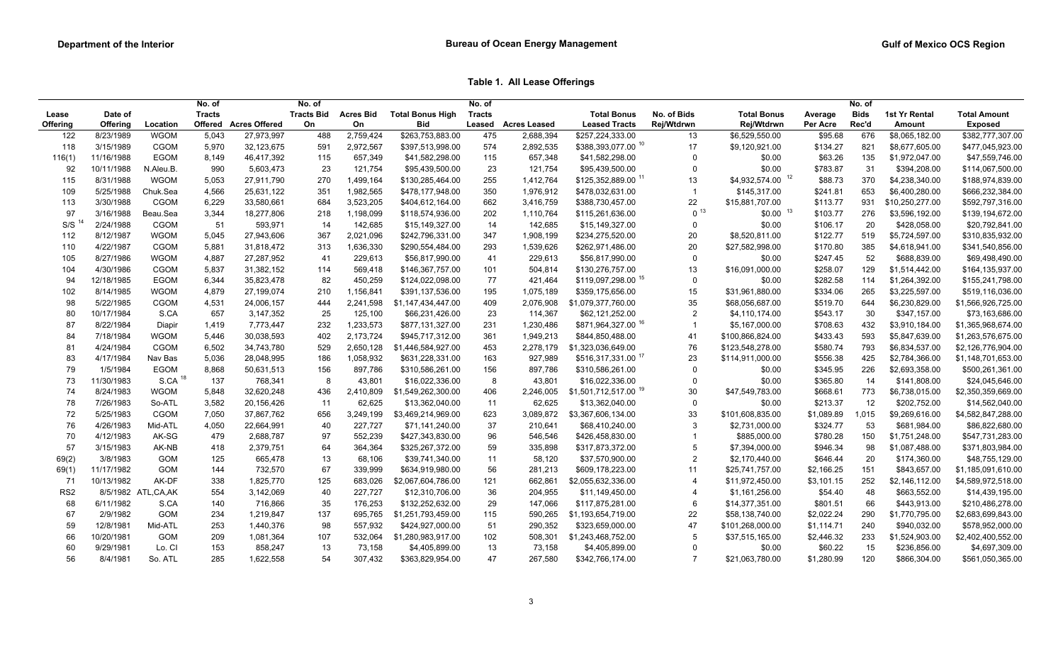**Table 1. All Lease Offerings**

| <b>Tracts Bid</b><br>Lease<br><b>Acres Offered</b><br>Rej/Wtdrwn<br>Rec'd<br>Offering<br><b>Offering</b><br>Offered<br>On<br>On<br><b>Bid</b><br><b>Leased Tracts</b><br>Rej/Wtdrwn<br>Per Acre<br>Location<br>Leased<br><b>Acres Leased</b><br>Amount<br><b>Exposed</b><br>\$263,753,883.00<br>122<br>8/23/1989<br><b>WGOM</b><br>488<br>2,759,424<br>475<br>2,688,394<br>\$257,224,333.00<br>676<br>5,043<br>27,973,997<br>13<br>\$6,529,550.00<br>\$95.68<br>\$8,065,182.00<br>\$388,393,077.00 10<br>CGOM<br>574<br>17<br>118<br>3/15/1989<br>5,970<br>32,123,675<br>591<br>2,972,567<br>\$397,513,998.00<br>2,892,535<br>\$9,120,921.00<br>\$134.27<br>821<br>\$8,677,605.00<br>11/16/1988<br>EGOM<br>115<br>657,348<br>\$63.26<br>116(1)<br>8,149<br>46,417,392<br>115<br>657,349<br>\$41,582,298.00<br>\$41,582,298.00<br>\$0.00<br>135<br>\$1,972,047.00<br>$\Omega$<br>10/11/1988<br>990<br>23<br>121,754<br>23<br>\$0.00<br>\$783.87<br>31<br>92<br>N.Aleu.B.<br>5,603,473<br>\$95,439,500.00<br>121,754<br>\$95,439,500.00<br>$\mathbf 0$<br>\$394,208.00<br>12<br>\$125,352,889.00 11<br>\$4,932,574.00<br>\$88.73<br>115<br>8/31/1988<br><b>WGOM</b><br>5,053<br>27,911,790<br>270<br>1,499,164<br>255<br>1,412,764<br>13<br>370<br>\$4,238,340.00<br>\$130,285,464.00<br>350<br>109<br>5/25/1988<br>Chuk.Sea<br>4,566<br>25,631,122<br>351<br>1,982,565<br>\$478,177,948.00<br>1,976,912<br>\$478,032,631.00<br>\$145,317.00<br>\$241.81<br>653<br>\$6,400,280.00<br>CGOM<br>662<br>22<br>\$113.77<br>113<br>3/30/1988<br>6,229<br>33,580,661<br>684<br>3,523,205<br>3,416,759<br>\$15,881,707.00<br>931<br>\$10,250,277.00<br>\$404,612,164.00<br>\$388,730,457.00<br>0 <sup>13</sup><br>$$0.00$ $^{13}$<br>97<br>3/16/1988<br>Beau.Sea<br>3,344<br>18,277,806<br>1,198,099<br>202<br>\$103.77<br>276<br>218<br>\$118,574,936.00<br>1,110,764<br>\$115,261,636.00<br>\$3,596,192.00<br>S/S <sup>14</sup><br>2/24/1988<br>CGOM<br>593,971<br>142,685<br>14<br>$\mathbf 0$<br>\$0.00<br>\$106.17<br>20<br>51<br>14<br>\$15,149,327.00<br>142,685<br>\$15,149,327.00<br>\$428,058.00<br><b>WGOM</b><br>27,943,606<br>347<br>\$122.77<br>519<br>112<br>8/12/1987<br>5,045<br>367<br>2,021,096<br>\$242,796,331.00<br>1,908,199<br>\$234,275,520.00<br>20<br>\$8,520,811.00<br>\$5,724,597.00<br>CGOM<br>110<br>4/22/1987<br>5,881<br>31,818,472<br>1,636,330<br>\$290,554,484.00<br>293<br>20<br>\$27,582,998.00<br>\$170.80<br>385<br>\$4,618,941.00<br>313<br>1,539,626<br>\$262,971,486.00<br>WGOM<br>41<br>52<br>105<br>8/27/1986<br>4,887<br>27,287,952<br>41<br>229,613<br>\$56,817,990.00<br>229,613<br>$\overline{0}$<br>\$0.00<br>\$247.45<br>\$688,839.00<br>\$56,817,990.00<br>104<br>4/30/1986<br>CGOM<br>\$16,091,000.00<br>\$258.07<br>129<br>5,837<br>31,382,152<br>114<br>569,418<br>\$146,367,757.00<br>101<br>504,814<br>\$130,276,757.00<br>13<br>\$1,514,442.00 |    |            |      | No. of        |            | No. of |                  |                         | No. of        |         |                     |             |                    |          | No. of      |                |                     |
|------------------------------------------------------------------------------------------------------------------------------------------------------------------------------------------------------------------------------------------------------------------------------------------------------------------------------------------------------------------------------------------------------------------------------------------------------------------------------------------------------------------------------------------------------------------------------------------------------------------------------------------------------------------------------------------------------------------------------------------------------------------------------------------------------------------------------------------------------------------------------------------------------------------------------------------------------------------------------------------------------------------------------------------------------------------------------------------------------------------------------------------------------------------------------------------------------------------------------------------------------------------------------------------------------------------------------------------------------------------------------------------------------------------------------------------------------------------------------------------------------------------------------------------------------------------------------------------------------------------------------------------------------------------------------------------------------------------------------------------------------------------------------------------------------------------------------------------------------------------------------------------------------------------------------------------------------------------------------------------------------------------------------------------------------------------------------------------------------------------------------------------------------------------------------------------------------------------------------------------------------------------------------------------------------------------------------------------------------------------------------------------------------------------------------------------------------------------------------------------------------------------------------------------------------------------------------------------------------------------------------------------------------------------------------------------------------------------------------------------------------------------------------------------------------------------------------------------------------------------------------------------------|----|------------|------|---------------|------------|--------|------------------|-------------------------|---------------|---------|---------------------|-------------|--------------------|----------|-------------|----------------|---------------------|
|                                                                                                                                                                                                                                                                                                                                                                                                                                                                                                                                                                                                                                                                                                                                                                                                                                                                                                                                                                                                                                                                                                                                                                                                                                                                                                                                                                                                                                                                                                                                                                                                                                                                                                                                                                                                                                                                                                                                                                                                                                                                                                                                                                                                                                                                                                                                                                                                                                                                                                                                                                                                                                                                                                                                                                                                                                                                                                |    | Date of    |      | <b>Tracts</b> |            |        | <b>Acres Bid</b> | <b>Total Bonus High</b> | <b>Tracts</b> |         | <b>Total Bonus</b>  | No. of Bids | <b>Total Bonus</b> | Average  | <b>Bids</b> | 1st Yr Rental  | <b>Total Amount</b> |
|                                                                                                                                                                                                                                                                                                                                                                                                                                                                                                                                                                                                                                                                                                                                                                                                                                                                                                                                                                                                                                                                                                                                                                                                                                                                                                                                                                                                                                                                                                                                                                                                                                                                                                                                                                                                                                                                                                                                                                                                                                                                                                                                                                                                                                                                                                                                                                                                                                                                                                                                                                                                                                                                                                                                                                                                                                                                                                |    |            |      |               |            |        |                  |                         |               |         |                     |             |                    |          |             |                |                     |
|                                                                                                                                                                                                                                                                                                                                                                                                                                                                                                                                                                                                                                                                                                                                                                                                                                                                                                                                                                                                                                                                                                                                                                                                                                                                                                                                                                                                                                                                                                                                                                                                                                                                                                                                                                                                                                                                                                                                                                                                                                                                                                                                                                                                                                                                                                                                                                                                                                                                                                                                                                                                                                                                                                                                                                                                                                                                                                |    |            |      |               |            |        |                  |                         |               |         |                     |             |                    |          |             |                | \$382,777,307.00    |
|                                                                                                                                                                                                                                                                                                                                                                                                                                                                                                                                                                                                                                                                                                                                                                                                                                                                                                                                                                                                                                                                                                                                                                                                                                                                                                                                                                                                                                                                                                                                                                                                                                                                                                                                                                                                                                                                                                                                                                                                                                                                                                                                                                                                                                                                                                                                                                                                                                                                                                                                                                                                                                                                                                                                                                                                                                                                                                |    |            |      |               |            |        |                  |                         |               |         |                     |             |                    |          |             |                | \$477,045,923.00    |
|                                                                                                                                                                                                                                                                                                                                                                                                                                                                                                                                                                                                                                                                                                                                                                                                                                                                                                                                                                                                                                                                                                                                                                                                                                                                                                                                                                                                                                                                                                                                                                                                                                                                                                                                                                                                                                                                                                                                                                                                                                                                                                                                                                                                                                                                                                                                                                                                                                                                                                                                                                                                                                                                                                                                                                                                                                                                                                |    |            |      |               |            |        |                  |                         |               |         |                     |             |                    |          |             |                | \$47,559,746.00     |
|                                                                                                                                                                                                                                                                                                                                                                                                                                                                                                                                                                                                                                                                                                                                                                                                                                                                                                                                                                                                                                                                                                                                                                                                                                                                                                                                                                                                                                                                                                                                                                                                                                                                                                                                                                                                                                                                                                                                                                                                                                                                                                                                                                                                                                                                                                                                                                                                                                                                                                                                                                                                                                                                                                                                                                                                                                                                                                |    |            |      |               |            |        |                  |                         |               |         |                     |             |                    |          |             |                | \$114,067,500.00    |
|                                                                                                                                                                                                                                                                                                                                                                                                                                                                                                                                                                                                                                                                                                                                                                                                                                                                                                                                                                                                                                                                                                                                                                                                                                                                                                                                                                                                                                                                                                                                                                                                                                                                                                                                                                                                                                                                                                                                                                                                                                                                                                                                                                                                                                                                                                                                                                                                                                                                                                                                                                                                                                                                                                                                                                                                                                                                                                |    |            |      |               |            |        |                  |                         |               |         |                     |             |                    |          |             |                | \$188,974,839.00    |
|                                                                                                                                                                                                                                                                                                                                                                                                                                                                                                                                                                                                                                                                                                                                                                                                                                                                                                                                                                                                                                                                                                                                                                                                                                                                                                                                                                                                                                                                                                                                                                                                                                                                                                                                                                                                                                                                                                                                                                                                                                                                                                                                                                                                                                                                                                                                                                                                                                                                                                                                                                                                                                                                                                                                                                                                                                                                                                |    |            |      |               |            |        |                  |                         |               |         |                     |             |                    |          |             |                | \$666,232,384.00    |
|                                                                                                                                                                                                                                                                                                                                                                                                                                                                                                                                                                                                                                                                                                                                                                                                                                                                                                                                                                                                                                                                                                                                                                                                                                                                                                                                                                                                                                                                                                                                                                                                                                                                                                                                                                                                                                                                                                                                                                                                                                                                                                                                                                                                                                                                                                                                                                                                                                                                                                                                                                                                                                                                                                                                                                                                                                                                                                |    |            |      |               |            |        |                  |                         |               |         |                     |             |                    |          |             |                | \$592,797,316.00    |
|                                                                                                                                                                                                                                                                                                                                                                                                                                                                                                                                                                                                                                                                                                                                                                                                                                                                                                                                                                                                                                                                                                                                                                                                                                                                                                                                                                                                                                                                                                                                                                                                                                                                                                                                                                                                                                                                                                                                                                                                                                                                                                                                                                                                                                                                                                                                                                                                                                                                                                                                                                                                                                                                                                                                                                                                                                                                                                |    |            |      |               |            |        |                  |                         |               |         |                     |             |                    |          |             |                | \$139,194,672.00    |
|                                                                                                                                                                                                                                                                                                                                                                                                                                                                                                                                                                                                                                                                                                                                                                                                                                                                                                                                                                                                                                                                                                                                                                                                                                                                                                                                                                                                                                                                                                                                                                                                                                                                                                                                                                                                                                                                                                                                                                                                                                                                                                                                                                                                                                                                                                                                                                                                                                                                                                                                                                                                                                                                                                                                                                                                                                                                                                |    |            |      |               |            |        |                  |                         |               |         |                     |             |                    |          |             |                | \$20,792,841.00     |
|                                                                                                                                                                                                                                                                                                                                                                                                                                                                                                                                                                                                                                                                                                                                                                                                                                                                                                                                                                                                                                                                                                                                                                                                                                                                                                                                                                                                                                                                                                                                                                                                                                                                                                                                                                                                                                                                                                                                                                                                                                                                                                                                                                                                                                                                                                                                                                                                                                                                                                                                                                                                                                                                                                                                                                                                                                                                                                |    |            |      |               |            |        |                  |                         |               |         |                     |             |                    |          |             |                | \$310,835,932.00    |
|                                                                                                                                                                                                                                                                                                                                                                                                                                                                                                                                                                                                                                                                                                                                                                                                                                                                                                                                                                                                                                                                                                                                                                                                                                                                                                                                                                                                                                                                                                                                                                                                                                                                                                                                                                                                                                                                                                                                                                                                                                                                                                                                                                                                                                                                                                                                                                                                                                                                                                                                                                                                                                                                                                                                                                                                                                                                                                |    |            |      |               |            |        |                  |                         |               |         |                     |             |                    |          |             |                | \$341,540,856.00    |
|                                                                                                                                                                                                                                                                                                                                                                                                                                                                                                                                                                                                                                                                                                                                                                                                                                                                                                                                                                                                                                                                                                                                                                                                                                                                                                                                                                                                                                                                                                                                                                                                                                                                                                                                                                                                                                                                                                                                                                                                                                                                                                                                                                                                                                                                                                                                                                                                                                                                                                                                                                                                                                                                                                                                                                                                                                                                                                |    |            |      |               |            |        |                  |                         |               |         |                     |             |                    |          |             |                | \$69,498,490.00     |
|                                                                                                                                                                                                                                                                                                                                                                                                                                                                                                                                                                                                                                                                                                                                                                                                                                                                                                                                                                                                                                                                                                                                                                                                                                                                                                                                                                                                                                                                                                                                                                                                                                                                                                                                                                                                                                                                                                                                                                                                                                                                                                                                                                                                                                                                                                                                                                                                                                                                                                                                                                                                                                                                                                                                                                                                                                                                                                |    |            |      |               |            |        |                  |                         |               |         |                     |             |                    |          |             |                | \$164,135,937.00    |
|                                                                                                                                                                                                                                                                                                                                                                                                                                                                                                                                                                                                                                                                                                                                                                                                                                                                                                                                                                                                                                                                                                                                                                                                                                                                                                                                                                                                                                                                                                                                                                                                                                                                                                                                                                                                                                                                                                                                                                                                                                                                                                                                                                                                                                                                                                                                                                                                                                                                                                                                                                                                                                                                                                                                                                                                                                                                                                | 94 | 12/18/1985 | EGOM | 6,344         | 35,823,478 | 82     | 450,259          | \$124,022,098.00        | 77            | 421,464 | \$119,097,298.00 15 | $\mathbf 0$ | \$0.00             | \$282.58 | 114         | \$1,264,392.00 | \$155,241,798.00    |
| 102<br>8/14/1985<br><b>WGOM</b><br>4,879<br>27,199,074<br>1,156,841<br>195<br>1,075,189<br>15<br>\$31,961,880.00<br>\$334.06<br>265<br>\$3,225,597.00<br>210<br>\$391,137,536.00<br>\$359,175,656.00                                                                                                                                                                                                                                                                                                                                                                                                                                                                                                                                                                                                                                                                                                                                                                                                                                                                                                                                                                                                                                                                                                                                                                                                                                                                                                                                                                                                                                                                                                                                                                                                                                                                                                                                                                                                                                                                                                                                                                                                                                                                                                                                                                                                                                                                                                                                                                                                                                                                                                                                                                                                                                                                                           |    |            |      |               |            |        |                  |                         |               |         |                     |             |                    |          |             |                | \$519,116,036.00    |
| 98<br>5/22/1985<br>CGOM<br>24,006,157<br>409<br>2,076,908<br>35<br>\$68,056,687.00<br>\$519.70<br>644<br>\$6,230,829.00<br>4,531<br>444<br>2,241,598<br>\$1,147,434,447.00<br>\$1,079,377,760.00                                                                                                                                                                                                                                                                                                                                                                                                                                                                                                                                                                                                                                                                                                                                                                                                                                                                                                                                                                                                                                                                                                                                                                                                                                                                                                                                                                                                                                                                                                                                                                                                                                                                                                                                                                                                                                                                                                                                                                                                                                                                                                                                                                                                                                                                                                                                                                                                                                                                                                                                                                                                                                                                                               |    |            |      |               |            |        |                  |                         |               |         |                     |             |                    |          |             |                | \$1,566,926,725.00  |
| 657<br>25<br>23<br>30<br>80<br>10/17/1984<br>S.CA<br>3,147,352<br>125,100<br>114,367<br>\$62,121,252.00<br>$\overline{2}$<br>\$543.17<br>\$347,157.00<br>\$66,231,426.00<br>\$4,110,174.00                                                                                                                                                                                                                                                                                                                                                                                                                                                                                                                                                                                                                                                                                                                                                                                                                                                                                                                                                                                                                                                                                                                                                                                                                                                                                                                                                                                                                                                                                                                                                                                                                                                                                                                                                                                                                                                                                                                                                                                                                                                                                                                                                                                                                                                                                                                                                                                                                                                                                                                                                                                                                                                                                                     |    |            |      |               |            |        |                  |                         |               |         |                     |             |                    |          |             |                | \$73,163,686.00     |
| \$871,964,327.00 16<br>87<br>1,233,573<br>\$708.63<br>432<br>8/22/1984<br>Diapir<br>1,419<br>7,773,447<br>232<br>\$877,131,327.00<br>231<br>1,230,486<br>\$5,167,000.00<br>\$3,910,184.00<br>-1                                                                                                                                                                                                                                                                                                                                                                                                                                                                                                                                                                                                                                                                                                                                                                                                                                                                                                                                                                                                                                                                                                                                                                                                                                                                                                                                                                                                                                                                                                                                                                                                                                                                                                                                                                                                                                                                                                                                                                                                                                                                                                                                                                                                                                                                                                                                                                                                                                                                                                                                                                                                                                                                                                |    |            |      |               |            |        |                  |                         |               |         |                     |             |                    |          |             |                | \$1,365,968,674.00  |
| 84<br>361<br>593<br>7/18/1984<br><b>WGOM</b><br>5,446<br>30,038,593<br>402<br>2,173,724<br>\$945,717,312.00<br>1,949,213<br>\$844,850,488.00<br>41<br>\$100,866,824.00<br>\$433.43<br>\$5,847,639.00                                                                                                                                                                                                                                                                                                                                                                                                                                                                                                                                                                                                                                                                                                                                                                                                                                                                                                                                                                                                                                                                                                                                                                                                                                                                                                                                                                                                                                                                                                                                                                                                                                                                                                                                                                                                                                                                                                                                                                                                                                                                                                                                                                                                                                                                                                                                                                                                                                                                                                                                                                                                                                                                                           |    |            |      |               |            |        |                  |                         |               |         |                     |             |                    |          |             |                | \$1,263,576,675.00  |
| 81<br>4/24/1984<br>CGOM<br>453<br>6,502<br>34,743,780<br>529<br>2,650,128<br>\$1,446,584,927.00<br>2,278,179<br>\$1,323,036,649.00<br>76<br>\$123,548,278.00<br>\$580.74<br>793<br>\$6,834,537.00                                                                                                                                                                                                                                                                                                                                                                                                                                                                                                                                                                                                                                                                                                                                                                                                                                                                                                                                                                                                                                                                                                                                                                                                                                                                                                                                                                                                                                                                                                                                                                                                                                                                                                                                                                                                                                                                                                                                                                                                                                                                                                                                                                                                                                                                                                                                                                                                                                                                                                                                                                                                                                                                                              |    |            |      |               |            |        |                  |                         |               |         |                     |             |                    |          |             |                | \$2,126,776,904.00  |
| 83<br>\$516,317,331.00 17<br>28,048,995<br>1,058,932<br>163<br>927,989<br>23<br>\$556.38<br>4/17/1984<br>Nav Bas<br>5,036<br>186<br>\$631,228,331.00<br>\$114,911,000.00<br>425<br>\$2,784,366.00                                                                                                                                                                                                                                                                                                                                                                                                                                                                                                                                                                                                                                                                                                                                                                                                                                                                                                                                                                                                                                                                                                                                                                                                                                                                                                                                                                                                                                                                                                                                                                                                                                                                                                                                                                                                                                                                                                                                                                                                                                                                                                                                                                                                                                                                                                                                                                                                                                                                                                                                                                                                                                                                                              |    |            |      |               |            |        |                  |                         |               |         |                     |             |                    |          |             |                | \$1,148,701,653.00  |
| 79<br>1/5/1984<br>EGOM<br>8,868<br>50,631,513<br>897,786<br>156<br>897,786<br>\$345.95<br>226<br>156<br>\$310,586,261.00<br>\$310,586,261.00<br>$\Omega$<br>\$0.00<br>\$2,693,358.00                                                                                                                                                                                                                                                                                                                                                                                                                                                                                                                                                                                                                                                                                                                                                                                                                                                                                                                                                                                                                                                                                                                                                                                                                                                                                                                                                                                                                                                                                                                                                                                                                                                                                                                                                                                                                                                                                                                                                                                                                                                                                                                                                                                                                                                                                                                                                                                                                                                                                                                                                                                                                                                                                                           |    |            |      |               |            |        |                  |                         |               |         |                     |             |                    |          |             |                | \$500,261,361.00    |
| S.CA <sup>18</sup><br>73<br>14<br>11/30/1983<br>137<br>768,341<br>8<br>43,801<br>8<br>43,801<br>\$0.00<br>\$365.80<br>\$16,022,336.00<br>\$16,022,336.00<br>$\overline{0}$<br>\$141,808.00                                                                                                                                                                                                                                                                                                                                                                                                                                                                                                                                                                                                                                                                                                                                                                                                                                                                                                                                                                                                                                                                                                                                                                                                                                                                                                                                                                                                                                                                                                                                                                                                                                                                                                                                                                                                                                                                                                                                                                                                                                                                                                                                                                                                                                                                                                                                                                                                                                                                                                                                                                                                                                                                                                     |    |            |      |               |            |        |                  |                         |               |         |                     |             |                    |          |             |                | \$24,045,646.00     |
| \$1,501,712,517.00 <sup>19</sup><br>74<br>8/24/1983<br><b>WGOM</b><br>32,620,248<br>\$1,549,262,300.00<br>406<br>2,246,005<br>30<br>\$47,549,783.00<br>\$668.61<br>773<br>5,848<br>436<br>2,410,809<br>\$6,738,015.00                                                                                                                                                                                                                                                                                                                                                                                                                                                                                                                                                                                                                                                                                                                                                                                                                                                                                                                                                                                                                                                                                                                                                                                                                                                                                                                                                                                                                                                                                                                                                                                                                                                                                                                                                                                                                                                                                                                                                                                                                                                                                                                                                                                                                                                                                                                                                                                                                                                                                                                                                                                                                                                                          |    |            |      |               |            |        |                  |                         |               |         |                     |             |                    |          |             |                | \$2,350,359,669.00  |
| 78<br>7/26/1983<br>3,582<br>62,625<br>62,625<br>\$213.37<br>12<br>\$202,752.00<br>So-ATL<br>20,156,426<br>11<br>\$13,362,040.00<br>11<br>\$13,362,040.00<br>$\overline{0}$<br>\$0.00                                                                                                                                                                                                                                                                                                                                                                                                                                                                                                                                                                                                                                                                                                                                                                                                                                                                                                                                                                                                                                                                                                                                                                                                                                                                                                                                                                                                                                                                                                                                                                                                                                                                                                                                                                                                                                                                                                                                                                                                                                                                                                                                                                                                                                                                                                                                                                                                                                                                                                                                                                                                                                                                                                           |    |            |      |               |            |        |                  |                         |               |         |                     |             |                    |          |             |                | \$14,562,040.00     |
| 72<br>5/25/1983<br>CGOM<br>37,867,762<br>3,249,199<br>33<br>\$101,608,835.00<br>\$1,089.89<br>\$9,269,616.00<br>7,050<br>656<br>\$3,469,214,969.00<br>623<br>3,089,872<br>\$3,367,606,134.00<br>1,015                                                                                                                                                                                                                                                                                                                                                                                                                                                                                                                                                                                                                                                                                                                                                                                                                                                                                                                                                                                                                                                                                                                                                                                                                                                                                                                                                                                                                                                                                                                                                                                                                                                                                                                                                                                                                                                                                                                                                                                                                                                                                                                                                                                                                                                                                                                                                                                                                                                                                                                                                                                                                                                                                          |    |            |      |               |            |        |                  |                         |               |         |                     |             |                    |          |             |                | \$4,582,847,288.00  |
| 76<br>37<br>53<br>4/26/1983<br>Mid-ATL<br>4,050<br>22,664,991<br>40<br>227,727<br>-3<br>\$324.77<br>\$71,141,240.00<br>210,641<br>\$68,410,240.00<br>\$2,731,000.00<br>\$681,984.00                                                                                                                                                                                                                                                                                                                                                                                                                                                                                                                                                                                                                                                                                                                                                                                                                                                                                                                                                                                                                                                                                                                                                                                                                                                                                                                                                                                                                                                                                                                                                                                                                                                                                                                                                                                                                                                                                                                                                                                                                                                                                                                                                                                                                                                                                                                                                                                                                                                                                                                                                                                                                                                                                                            |    |            |      |               |            |        |                  |                         |               |         |                     |             |                    |          |             |                | \$86,822,680.00     |
| 70<br>AK-SG<br>479<br>552,239<br>96<br>4/12/1983<br>2,688,787<br>97<br>\$427,343,830.00<br>546,546<br>\$426,458,830.00<br>\$885,000.00<br>\$780.28<br>150<br>\$1,751,248.00                                                                                                                                                                                                                                                                                                                                                                                                                                                                                                                                                                                                                                                                                                                                                                                                                                                                                                                                                                                                                                                                                                                                                                                                                                                                                                                                                                                                                                                                                                                                                                                                                                                                                                                                                                                                                                                                                                                                                                                                                                                                                                                                                                                                                                                                                                                                                                                                                                                                                                                                                                                                                                                                                                                    |    |            |      |               |            |        |                  |                         |               |         |                     |             |                    |          |             |                | \$547,731,283.00    |
| 57<br>59<br>3/15/1983<br>AK-NB<br>418<br>2,379,751<br>64<br>364,364<br>\$325,267,372.00<br>335,898<br>\$317,873,372.00<br>5<br>\$7,394,000.00<br>\$946.34<br>98<br>\$1,087,488.00                                                                                                                                                                                                                                                                                                                                                                                                                                                                                                                                                                                                                                                                                                                                                                                                                                                                                                                                                                                                                                                                                                                                                                                                                                                                                                                                                                                                                                                                                                                                                                                                                                                                                                                                                                                                                                                                                                                                                                                                                                                                                                                                                                                                                                                                                                                                                                                                                                                                                                                                                                                                                                                                                                              |    |            |      |               |            |        |                  |                         |               |         |                     |             |                    |          |             |                | \$371,803,984.00    |
| GOM<br>69(2)<br>3/8/1983<br>125<br>665,478<br>13<br>68,106<br>\$39,741,340.00<br>11<br>\$37,570,900.00<br>$\overline{2}$<br>\$646.44<br>20<br>\$174,360.00<br>58,120<br>\$2,170,440.00                                                                                                                                                                                                                                                                                                                                                                                                                                                                                                                                                                                                                                                                                                                                                                                                                                                                                                                                                                                                                                                                                                                                                                                                                                                                                                                                                                                                                                                                                                                                                                                                                                                                                                                                                                                                                                                                                                                                                                                                                                                                                                                                                                                                                                                                                                                                                                                                                                                                                                                                                                                                                                                                                                         |    |            |      |               |            |        |                  |                         |               |         |                     |             |                    |          |             |                | \$48,755,129.00     |
| 11/17/1982<br>GOM<br>732,570<br>67<br>339,999<br>56<br>\$843,657.00<br>69(1)<br>144<br>\$634,919,980.00<br>281,213<br>\$609,178,223.00<br>11<br>\$25,741,757.00<br>\$2,166.25<br>151                                                                                                                                                                                                                                                                                                                                                                                                                                                                                                                                                                                                                                                                                                                                                                                                                                                                                                                                                                                                                                                                                                                                                                                                                                                                                                                                                                                                                                                                                                                                                                                                                                                                                                                                                                                                                                                                                                                                                                                                                                                                                                                                                                                                                                                                                                                                                                                                                                                                                                                                                                                                                                                                                                           |    |            |      |               |            |        |                  |                         |               |         |                     |             |                    |          |             |                | \$1,185,091,610.00  |
| AK-DF<br>10/13/1982<br>338<br>1,825,770<br>125<br>121<br>252<br>71<br>683,026<br>\$2,067,604,786.00<br>662,861<br>\$2,055,632,336.00<br>$\overline{4}$<br>\$11,972,450.00<br>\$3,101.15<br>\$2,146,112.00                                                                                                                                                                                                                                                                                                                                                                                                                                                                                                                                                                                                                                                                                                                                                                                                                                                                                                                                                                                                                                                                                                                                                                                                                                                                                                                                                                                                                                                                                                                                                                                                                                                                                                                                                                                                                                                                                                                                                                                                                                                                                                                                                                                                                                                                                                                                                                                                                                                                                                                                                                                                                                                                                      |    |            |      |               |            |        |                  |                         |               |         |                     |             |                    |          |             |                | \$4,589,972,518.00  |
| 554<br>40<br>227,727<br>36<br>\$54.40<br>48<br>RS <sub>2</sub><br>8/5/1982 ATL, CA, AK<br>3,142,069<br>\$12,310,706.00<br>204,955<br>\$11,149,450.00<br>\$1,161,256.00<br>\$663,552.00<br>$\overline{4}$                                                                                                                                                                                                                                                                                                                                                                                                                                                                                                                                                                                                                                                                                                                                                                                                                                                                                                                                                                                                                                                                                                                                                                                                                                                                                                                                                                                                                                                                                                                                                                                                                                                                                                                                                                                                                                                                                                                                                                                                                                                                                                                                                                                                                                                                                                                                                                                                                                                                                                                                                                                                                                                                                       |    |            |      |               |            |        |                  |                         |               |         |                     |             |                    |          |             |                | \$14,439,195.00     |
| 29<br>68<br>6/11/1982<br>S.CA<br>140<br>35<br>176,253<br>\$132,252,632.00<br>\$801.51<br>66<br>\$443,913.00<br>716,866<br>147,066<br>\$117,875,281.00<br>6<br>\$14,377,351.00                                                                                                                                                                                                                                                                                                                                                                                                                                                                                                                                                                                                                                                                                                                                                                                                                                                                                                                                                                                                                                                                                                                                                                                                                                                                                                                                                                                                                                                                                                                                                                                                                                                                                                                                                                                                                                                                                                                                                                                                                                                                                                                                                                                                                                                                                                                                                                                                                                                                                                                                                                                                                                                                                                                  |    |            |      |               |            |        |                  |                         |               |         |                     |             |                    |          |             |                | \$210,486,278.00    |
| 67<br>2/9/1982<br>GOM<br>234<br>1,219,847<br>137<br>695,765<br>\$1,251,793,459.00<br>115<br>590,265<br>\$1,193,654,719.00<br>22<br>\$58,138,740.00<br>\$2,022.24<br>290<br>\$1,770,795.00                                                                                                                                                                                                                                                                                                                                                                                                                                                                                                                                                                                                                                                                                                                                                                                                                                                                                                                                                                                                                                                                                                                                                                                                                                                                                                                                                                                                                                                                                                                                                                                                                                                                                                                                                                                                                                                                                                                                                                                                                                                                                                                                                                                                                                                                                                                                                                                                                                                                                                                                                                                                                                                                                                      |    |            |      |               |            |        |                  |                         |               |         |                     |             |                    |          |             |                | \$2,683,699,843.00  |
| 59<br>12/8/1981<br>Mid-ATL<br>98<br>47<br>\$940,032.00<br>253<br>1,440,376<br>557,932<br>\$424,927,000.00<br>51<br>290,352<br>\$323,659,000.00<br>\$101,268,000.00<br>\$1,114.71<br>240                                                                                                                                                                                                                                                                                                                                                                                                                                                                                                                                                                                                                                                                                                                                                                                                                                                                                                                                                                                                                                                                                                                                                                                                                                                                                                                                                                                                                                                                                                                                                                                                                                                                                                                                                                                                                                                                                                                                                                                                                                                                                                                                                                                                                                                                                                                                                                                                                                                                                                                                                                                                                                                                                                        |    |            |      |               |            |        |                  |                         |               |         |                     |             |                    |          |             |                | \$578,952,000.00    |
| GOM<br>66<br>10/20/1981<br>209<br>107<br>102<br>5<br>1,081,364<br>532,064<br>\$1,280,983,917.00<br>508,301<br>\$1,243,468,752.00<br>\$37,515,165.00<br>\$2,446.32<br>233<br>\$1,524,903.00                                                                                                                                                                                                                                                                                                                                                                                                                                                                                                                                                                                                                                                                                                                                                                                                                                                                                                                                                                                                                                                                                                                                                                                                                                                                                                                                                                                                                                                                                                                                                                                                                                                                                                                                                                                                                                                                                                                                                                                                                                                                                                                                                                                                                                                                                                                                                                                                                                                                                                                                                                                                                                                                                                     |    |            |      |               |            |        |                  |                         |               |         |                     |             |                    |          |             |                | \$2,402,400,552.00  |
| Lo. CI<br>153<br>13<br>13<br>15<br>60<br>9/29/1981<br>858,247<br>73,158<br>73,158<br>\$0.00<br>\$60.22<br>\$4,405,899.00<br>\$4,405,899.00<br>$\Omega$<br>\$236,856.00                                                                                                                                                                                                                                                                                                                                                                                                                                                                                                                                                                                                                                                                                                                                                                                                                                                                                                                                                                                                                                                                                                                                                                                                                                                                                                                                                                                                                                                                                                                                                                                                                                                                                                                                                                                                                                                                                                                                                                                                                                                                                                                                                                                                                                                                                                                                                                                                                                                                                                                                                                                                                                                                                                                         |    |            |      |               |            |        |                  |                         |               |         |                     |             |                    |          |             |                | \$4,697,309.00      |
| 56<br>47<br>285<br>54<br>307,432<br>$\overline{7}$<br>120<br>8/4/1981<br>So. ATL<br>1,622,558<br>\$363,829,954.00<br>267,580<br>\$342,766,174.00<br>\$21,063,780.00<br>\$1,280.99<br>\$866,304.00                                                                                                                                                                                                                                                                                                                                                                                                                                                                                                                                                                                                                                                                                                                                                                                                                                                                                                                                                                                                                                                                                                                                                                                                                                                                                                                                                                                                                                                                                                                                                                                                                                                                                                                                                                                                                                                                                                                                                                                                                                                                                                                                                                                                                                                                                                                                                                                                                                                                                                                                                                                                                                                                                              |    |            |      |               |            |        |                  |                         |               |         |                     |             |                    |          |             |                | \$561,050,365.00    |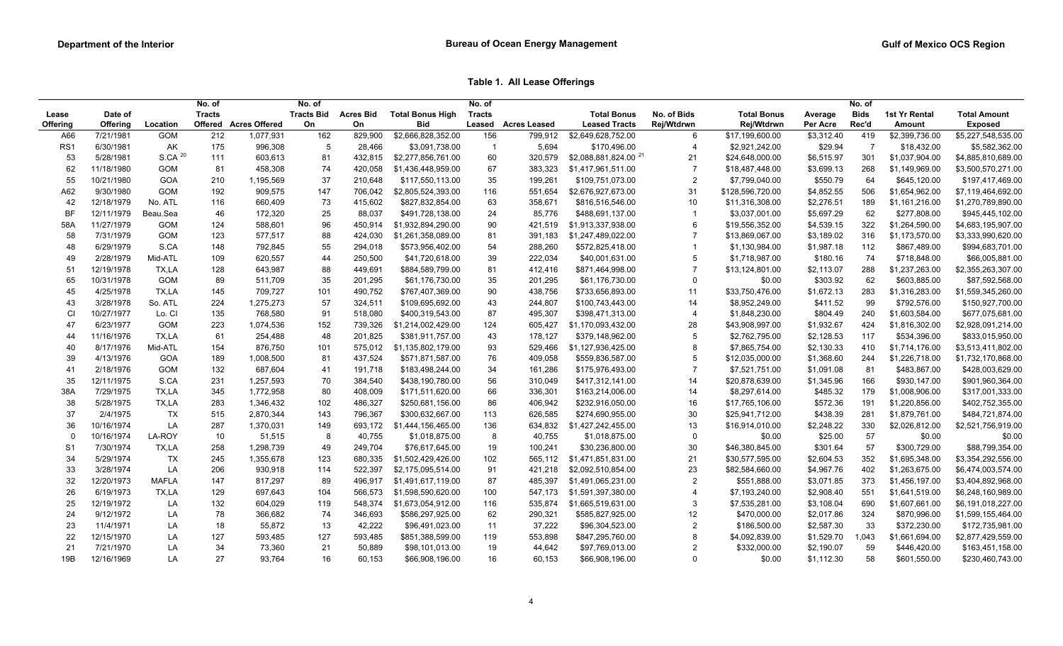**Table 1. All Lease Offerings**

|                 |                 |                    | No. of        |                      | No. of            |                  |                         | No. of         |                     |                                  |                |                    |            | No. of         |                |                     |
|-----------------|-----------------|--------------------|---------------|----------------------|-------------------|------------------|-------------------------|----------------|---------------------|----------------------------------|----------------|--------------------|------------|----------------|----------------|---------------------|
| Lease           | Date of         |                    | <b>Tracts</b> |                      | <b>Tracts Bid</b> | <b>Acres Bid</b> | <b>Total Bonus High</b> | <b>Tracts</b>  |                     | <b>Total Bonus</b>               | No. of Bids    | <b>Total Bonus</b> | Average    | <b>Bids</b>    | 1st Yr Rental  | <b>Total Amount</b> |
| Offering        | <b>Offering</b> | Location           | Offered       | <b>Acres Offered</b> | On                | On               | <b>Bid</b>              | Leased         | <b>Acres Leased</b> | <b>Leased Tracts</b>             | Rej/Wtdrwn     | Rej/Wtdrwn         | Per Acre   | Rec'd          | Amount         | <b>Exposed</b>      |
| A66             | 7/21/1981       | GOM                | 212           | 1,077,931            | 162               | 829,900          | \$2,666,828,352.00      | 156            | 799,912             | \$2,649,628,752.00               | 6              | \$17,199,600.00    | \$3,312.40 | 419            | \$2,399,736.00 | \$5,227,548,535.00  |
| RS <sub>1</sub> | 6/30/1981       | AK                 | 175           | 996,308              | 5                 | 28,466           | \$3,091,738.00          | $\overline{1}$ | 5,694               | \$170,496.00                     | $\overline{4}$ | \$2,921,242.00     | \$29.94    | $\overline{7}$ | \$18,432.00    | \$5,582,362.00      |
| 53              | 5/28/1981       | S.CA <sup>20</sup> | 111           | 603,613              | 81                | 432,815          | \$2,277,856,761.00      | 60             | 320,579             | \$2,088,881,824.00 <sup>21</sup> | 21             | \$24,648,000.00    | \$6,515.97 | 301            | \$1,037,904.00 | \$4,885,810,689.00  |
| 62              | 11/18/1980      | GOM                | 81            | 458,308              | 74                | 420,058          | \$1,436,448,959.00      | 67             | 383,323             | \$1,417,961,511.00               | $\overline{7}$ | \$18,487,448.00    | \$3,699.13 | 268            | \$1,149,969.00 | \$3,500,570,271.00  |
| 55              | 10/21/1980      | GOA                | 210           | 1,195,569            | 37                | 210,648          | \$117,550,113.00        | 35             | 199,261             | \$109,751,073.00                 | $\overline{2}$ | \$7,799,040.00     | \$550.79   | 64             | \$645,120.00   | \$197,417,469.00    |
| A62             | 9/30/1980       | <b>GOM</b>         | 192           | 909,575              | 147               | 706,042          | \$2,805,524,393.00      | 116            | 551,654             | \$2,676,927,673.00               | 31             | \$128,596,720.00   | \$4,852.55 | 506            | \$1,654,962.00 | \$7,119,464,692.00  |
| 42              | 12/18/1979      | No. ATL            | 116           | 660,409              | 73                | 415,602          | \$827,832,854.00        | 63             | 358,671             | \$816,516,546.00                 | 10             | \$11,316,308.00    | \$2,276.51 | 189            | \$1,161,216.00 | \$1,270,789,890.00  |
| <b>BF</b>       | 12/11/1979      | Beau.Sea           | 46            | 172,320              | 25                | 88,037           | \$491,728,138.00        | 24             | 85,776              | \$488,691,137.00                 | $\overline{1}$ | \$3,037,001.00     | \$5,697.29 | 62             | \$277,808.00   | \$945,445,102.00    |
| 58A             | 11/27/1979      | <b>GOM</b>         | 124           | 588,601              | 96                | 450,914          | \$1,932,894,290.00      | 90             | 421,519             | \$1,913,337,938.00               | 6              | \$19,556,352.00    | \$4,539.15 | 322            | \$1,264,590.00 | \$4,683,195,907.00  |
| 58              | 7/31/1979       | <b>GOM</b>         | 123           | 577,517              | 88                | 424,030          | \$1,261,358,089.00      | 81             | 391,183             | \$1,247,489,022.00               | $\overline{7}$ | \$13,869,067.00    | \$3,189.02 | 316            | \$1,173,570.00 | \$3,333,990,620.00  |
| 48              | 6/29/1979       | S.CA               | 148           | 792,845              | 55                | 294,018          | \$573,956,402.00        | 54             | 288,260             | \$572,825,418.00                 | $\overline{1}$ | \$1,130,984.00     | \$1,987.18 | 112            | \$867,489.00   | \$994,683,701.00    |
| 49              | 2/28/1979       | Mid-ATL            | 109           | 620,557              | 44                | 250,500          | \$41,720,618.00         | 39             | 222,034             | \$40,001,631.00                  | 5              | \$1,718,987.00     | \$180.16   | 74             | \$718,848.00   | \$66,005,881.00     |
| 51              | 12/19/1978      | TX,LA              | 128           | 643,987              | 88                | 449,691          | \$884,589,799.00        | 81             | 412,416             | \$871,464,998.00                 | $\overline{7}$ | \$13,124,801.00    | \$2,113.07 | 288            | \$1,237,263.00 | \$2,355,263,307.00  |
| 65              | 10/31/1978      | <b>GOM</b>         | 89            | 511,709              | 35                | 201,295          | \$61,176,730.00         | 35             | 201,295             | \$61,176,730.00                  | $\mathbf 0$    | \$0.00             | \$303.92   | 62             | \$603,885.00   | \$87,592,568.00     |
| 45              | 4/25/1978       | TX,LA              | 145           | 709,727              | 101               | 490,752          | \$767,407,369.00        | 90             | 438,756             | \$733,656,893.00                 | 11             | \$33,750,476.00    | \$1,672.13 | 283            | \$1,316,283.00 | \$1,559,345,260.00  |
| 43              | 3/28/1978       | So. ATL            | 224           | 1,275,273            | 57                | 324,511          | \$109,695,692.00        | 43             | 244,807             | \$100,743,443.00                 | 14             | \$8,952,249.00     | \$411.52   | 99             | \$792,576.00   | \$150,927,700.00    |
| CI              | 10/27/1977      | Lo. CI             | 135           | 768,580              | 91                | 518,080          | \$400,319,543.00        | 87             | 495,307             | \$398,471,313.00                 | $\overline{4}$ | \$1,848,230.00     | \$804.49   | 240            | \$1,603,584.00 | \$677,075,681.00    |
| 47              | 6/23/1977       | <b>GOM</b>         | 223           | 1,074,536            | 152               | 739,326          | \$1,214,002,429.00      | 124            | 605,427             | \$1,170,093,432.00               | 28             | \$43,908,997.00    | \$1,932.67 | 424            | \$1,816,302.00 | \$2,928,091,214.00  |
| 44              | 11/16/1976      | TX,LA              | 61            | 254,488              | 48                | 201,825          | \$381,911,757.00        | 43             | 178,127             | \$379,148,962.00                 | 5              | \$2,762,795.00     | \$2,128.53 | 117            | \$534,396.00   | \$833,015,950.00    |
| 40              | 8/17/1976       | Mid-ATL            | 154           | 876,750              | 101               | 575,012          | \$1,135,802,179.00      | 93             | 529,466             | \$1,127,936,425.00               | 8              | \$7,865,754.00     | \$2,130.33 | 410            | \$1,714,176.00 | \$3,513,411,802.00  |
| 39              | 4/13/1976       | GOA                | 189           | 1,008,500            | 81                | 437,524          | \$571,871,587.00        | 76             | 409,058             | \$559,836,587.00                 | 5              | \$12,035,000.00    | \$1,368.60 | 244            | \$1,226,718.00 | \$1,732,170,868.00  |
| 41              | 2/18/1976       | GOM                | 132           | 687,604              | 41                | 191,718          | \$183,498,244.00        | 34             | 161,286             | \$175,976,493.00                 | $\overline{7}$ | \$7,521,751.00     | \$1,091.08 | 81             | \$483,867.00   | \$428,003,629.00    |
| 35              | 12/11/1975      | S.CA               | 231           | 1,257,593            | 70                | 384,540          | \$438,190,780.00        | 56             | 310,049             | \$417,312,141.00                 | 14             | \$20,878,639.00    | \$1,345.96 | 166            | \$930,147.00   | \$901,960,364.00    |
| 38A             | 7/29/1975       | TX,LA              | 345           | 1,772,958            | 80                | 408,009          | \$171,511,620.00        | 66             | 336,301             | \$163,214,006.00                 | 14             | \$8,297,614.00     | \$485.32   | 179            | \$1,008,906.00 | \$317,001,333.00    |
| 38              | 5/28/1975       | TX,LA              | 283           | 1,346,432            | 102               | 486,327          | \$250,681,156.00        | 86             | 406,942             | \$232,916,050.00                 | 16             | \$17,765,106.00    | \$572.36   | 191            | \$1,220,856.00 | \$402,752,355.00    |
| 37              | 2/4/1975        | <b>TX</b>          | 515           | 2,870,344            | 143               | 796,367          | \$300,632,667.00        | 113            | 626,585             | \$274,690,955.00                 | 30             | \$25,941,712.00    | \$438.39   | 281            | \$1,879,761.00 | \$484,721,874.00    |
| 36              | 10/16/1974      | LA                 | 287           | 1,370,031            | 149               | 693,172          | \$1,444,156,465.00      | 136            | 634,832             | \$1,427,242,455.00               | 13             | \$16,914,010.00    | \$2,248.22 | 330            | \$2,026,812.00 | \$2,521,756,919.00  |
|                 | 10/16/1974      | LA-ROY             | 10            | 51,515               | 8                 | 40,755           | \$1,018,875.00          | 8              | 40,755              | \$1,018,875.00                   | $\mathbf 0$    | \$0.00             | \$25.00    | 57             | \$0.00         | \$0.00              |
| S <sub>1</sub>  | 7/30/1974       | TX,LA              | 258           | 1,298,739            | 49                | 249,704          | \$76,617,645.00         | 19             | 100,241             | \$30,236,800.00                  | $30\,$         | \$46,380,845.00    | \$301.64   | 57             | \$300,729.00   | \$88,799,354.00     |
| 34              | 5/29/1974       | <b>TX</b>          | 245           | 1,355,678            | 123               | 680,335          | \$1,502,429,426.00      | 102            | 565,112             | \$1,471,851,831.00               | 21             | \$30,577,595.00    | \$2,604.53 | 352            | \$1,695,348.00 | \$3,354,292,556.00  |
| 33              | 3/28/1974       | LA                 | 206           | 930,918              | 114               | 522,397          | \$2,175,095,514.00      | 91             | 421,218             | \$2,092,510,854.00               | 23             | \$82,584,660.00    | \$4,967.76 | 402            | \$1,263,675.00 | \$6,474,003,574.00  |
| 32              | 12/20/1973      | <b>MAFLA</b>       | 147           | 817,297              | 89                | 496,917          | \$1,491,617,119.00      | 87             | 485,397             | \$1,491,065,231.00               | $\overline{2}$ | \$551,888.00       | \$3,071.85 | 373            | \$1,456,197.00 | \$3,404,892,968.00  |
| 26              | 6/19/1973       | TX,LA              | 129           | 697,643              | 104               | 566,573          | \$1,598,590,620.00      | 100            | 547.173             | \$1,591,397,380.00               | $\overline{4}$ | \$7,193,240.00     | \$2,908.40 | 551            | \$1,641,519.00 | \$6,248,160,989.00  |
|                 | 12/19/1972      | LA                 | 132           |                      |                   |                  |                         |                |                     |                                  | $\mathbf{3}$   |                    |            |                |                |                     |
| 25              |                 |                    |               | 604,029              | 119               | 548,374          | \$1,673,054,912.00      | 116            | 535,874             | \$1,665,519,631.00               |                | \$7,535,281.00     | \$3,108.04 | 690            | \$1,607,661.00 | \$6,191,018,227.00  |
| 24              | 9/12/1972       | LA                 | 78            | 366,682              | 74                | 346,693          | \$586,297,925.00        | 62             | 290,321             | \$585,827,925.00                 | 12             | \$470,000.00       | \$2,017.86 | 324            | \$870,996.00   | \$1,599,155,464.00  |
| 23              | 11/4/1971       | LA                 | 18            | 55,872               | 13                | 42,222           | \$96,491,023.00         | 11             | 37,222              | \$96,304,523.00                  | $\overline{c}$ | \$186,500.00       | \$2,587.30 | 33             | \$372,230.00   | \$172,735,981.00    |
| 22              | 12/15/1970      | LA                 | 127           | 593,485              | 127               | 593,485          | \$851,388,599.00        | 119            | 553,898             | \$847,295,760.00                 | 8              | \$4,092,839.00     | \$1,529.70 | 1,043          | \$1,661,694.00 | \$2,877,429,559.00  |
| 21              | 7/21/1970       | LA                 | 34            | 73,360               | 21                | 50,889           | \$98,101,013.00         | 19             | 44,642              | \$97,769,013.00                  | $\overline{2}$ | \$332,000.00       | \$2,190.07 | 59             | \$446,420.00   | \$163,451,158.00    |
| 19B             | 12/16/1969      | LA                 | 27            | 93,764               | 16                | 60,153           | \$66,908,196.00         | 16             | 60,153              | \$66,908,196.00                  | $\Omega$       | \$0.00             | \$1,112.30 | 58             | \$601,550.00   | \$230,460,743.00    |